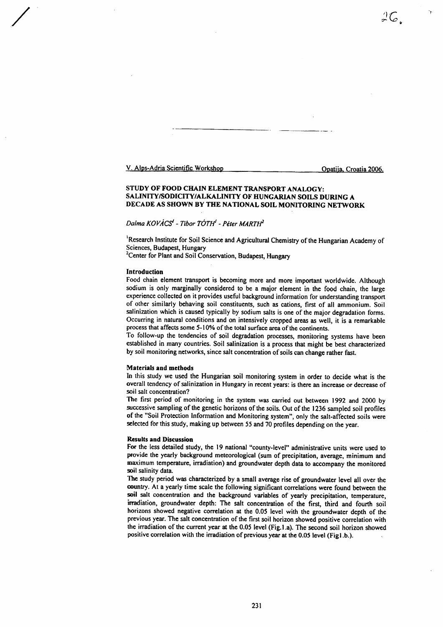V. Alps-Adria Scientific Workshop

Opatija, Croatia 2006.

 $\frac{1}{2}C_{\mu}$ 

# STUDY OF FOOD CHAIN ELEMENT TRANSPORT ANALOGY: SALINITY/SODICITY/ALKALINITY OF HUNGARIAN SOILS DURING A DECADE AS SHOWN BY THE NATIONAL SOIL MONITORING NETWORK

# Dalma KOVÁCS<sup>I</sup> - Tibor TÓTH<sup>I</sup> - Péter MARTH<sup>2</sup>

<sup>1</sup>Research Institute for Soil Science and Agricultural Chemistry of the Hungarian Academy of Sciences, Budapest, Hungary

<sup>2</sup> Center for Plant and Soil Conservation, Budapest, Hungary

#### Introduction

/

Food chain element transport is becoming more and morc important worldwide. Although sodium is only marginally considered to be a major element in the food chain, the targe experience collected on it provides useful background information for understanding transport of other similarly behaving soil constituents, such as cations, first of all ammonium. Soil salinization which is caused typically by sodium salts is one of the major degradation forms. Occurring in natural conditions and on intensively cropped areas as well, it is a remarkable process that affects some 5-10% of the total surface area of the continents.

To follow-up the tendencies of soil degradation processes, monitoring systems have been established in many countries. Soil salinization is a process that might be best characterized by soil monitoring nctworks, since salt concentration qf soils can change rather fast.

## Materials and methods

In this study we used the Hungarian soil monitoring system in order to decide what is rhe overall tendency of salinization in Hungary in recent years: is there an increase or decrease of soil salt concentration?

The first period of monitoring in the system was carried out between 1992 and 2000 by successive sampling of the genetic horizons of the soils. Out of the 1236 sampled soil profiles of the "Soil Protection Infornration and Monitoring system", onty the salt-affected soits were selccted for this study, making up between 55 and 70 profiles depending on the year.

## Rcsults and Discussion

For the less detailed study, the 19 national "county-level" administrative units were used to provide the yearly background meteorological (sum of precipitation, average, minimum and maximum temperature, irradiation) and groundwater depth data to accompany the monitored soil salinity data.

The study period was characterized by a small average rise of groundwater level all over the oountry. At a yearly time scale the following significant correlations were found between the soil salt concentration and the background variables of yearly precipitation, temperature, irradiation, groundwater depth: The salt concentration of the first, third and fourth soil horizons showed negative correlation at the 0.05 level with the groundwater depth of the previous year. The salt concentration of the first soil horizon showed positive correlation with the irradiation of the current year at the 0.05 level (Fig.1.a). The second soil horizon showed positive correlation with the irradiation of previous year at the 0.05 level (Figl.b.).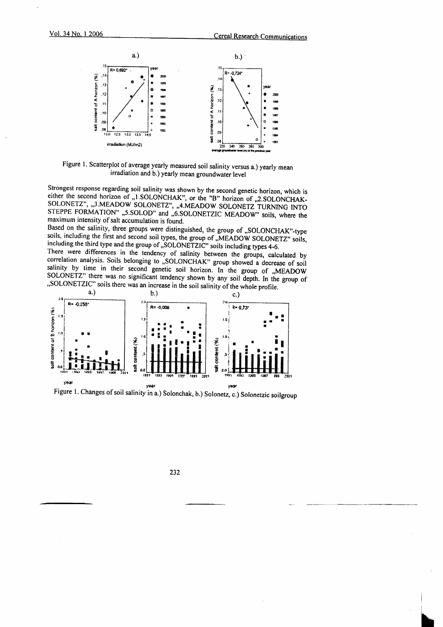

Figure 1. Scatterplot of average yearly measured soil salinity versus a.) yearly mean irradiation and b.) yearly mean groundwater level

Strongest response regarding soil salinity was shown by the second genetic horizon, which is either the second horizon of "1.SOLONCHAK", or the "B" horizon of "2.SOLONCHAK-SOLONETZ", "3.MEADOW SOLONETZ", "4.MEADOW SOLONETZ TURNING INTO<br>STEPPE FORMATION" "5.SOLOD" and "6.SOLONETZIC MEADOW" soils, where the maximum intensity of salt accumulation is found.

Based on the salinity, three groups were distinguished, the group of "SOLONCHAK"-type soils, including the first and second soil types, the group of "MEADOW SOLONETZ" soils, including the third type and the group of "SOLONETZIC" soils including types 4-6.

There were differences in the tendency of salinity between the groups, calculated by correlation analysis. Soils belonging to "SOLONCHAK" group showed a decrease of soil salinity by time in their second genetic soil horizon. In the group of "MEADOW SOLONETZ" there was no significant tendency shown by any soil depth. In the group of "SOLONETZIC" soils there was an increase in the soil salinity of the whole profile.





232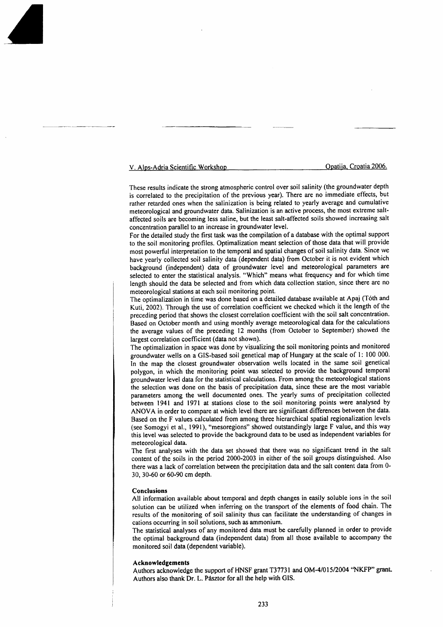V. Alps-Adria Scientific Workshoo . - Ooatiia. Croatia 2006.

These results indicate the strong atmospheric control over soil salinity (the groundwater depth is correlated to the precipitation of the previous year). There are no immediate etfects, but rather retarded ones when the salinization is being related to yearly average and cumulative meteorological and groundwater data. Salinization is an active process, the most extreme saltaffected soils are becoming less saline, but the least salt-affected soils showed increasing salt concentration parallel to an increase in groundwater level.

For the detailed study the first task was the compilation of a database with the optimal support to the soil monitoring profiles. Optimatization meant selection of those data that will provide most powerful interpretation to the temporal and spatial changes of soil salinity data. Since we have yearly collected soit salinity data (dependent data) from October it is not evident which background (independent) data of groundwater level and meteorological parameters are selected to enter the statistical analysis. "Which" means what frequency and for which tinre length should the data be selected and from which data collection station, since there are no meteorological stations at each soil monitoring point.

The optimalization in time was done based on a detailed database available at Apaj (Toth and Kuti, 2002). Through the use of correlation coefficient we checked which it the length of the preceding period that shows the closest correlation coefficient with the soil salt concentration. Based on October month and using monthly average meteorological data for the calculations the average values of the preceding l2 months (from October to September) showed the largest correlation coefficient (data not shown).

The optimalization in space was done by visualizing the soil monitoring points and monitored groundwater wells on a GIS-based soil genetical map of Hungary at the scale of 1:100 000. ln the map the closest groundwater observation wells located in the same soil genetical polygon, in which the monitoring point was selected to provide the background temporal groundwater level data for the statistical calculations. From among the meteorological stations the selection was done on the basis of precipitation data, since these are the most variable parameters among the well documented ones. The yearly sums of precipitation collected between l94l and l97l at stations close to the soil monitoring points were analysed by ANOVA in order to compare at which level there are significant differences between the data. Based on the F values calculated from among three hierarchical spatial regionalization levels (see Somogyi et al., 1991), "mesoregions" showed outstandingly large F value, and this way this level was selected to provide the background data to be used as independent variables for meteorological data.

The first analyses with the data set showed that there was no significant trend in the salt content of the soils in the period 2000-2003 in either of the soil groups distinguished. Also there was a lack of correlation between the precipitation data and the salt content data from 0- 30, 30-60 or 60-90 cm depth.

### Conclusions

All information available about temporal and depth changes in easily soluble ions in the soil solution can be utilized when inferring on the transport of the elements of food chain. The results of the monitoring of soil salinity thus can facilitate the understanding of changes in cations occurring in soil solutions, such as ammonium.

The statistical analyses of any monitored data must be carefully planned in order to provide the optimal background data (independent data) from all those available to accompany the monitored soil data (dependent variable).

### Acknowledgcments

Authors acknowledge the support of HNSF grant T37731 and OM-4/015/2004 "NKFP" grant. Authors also thank Dr. L. Pásztor for all the help with GIS.